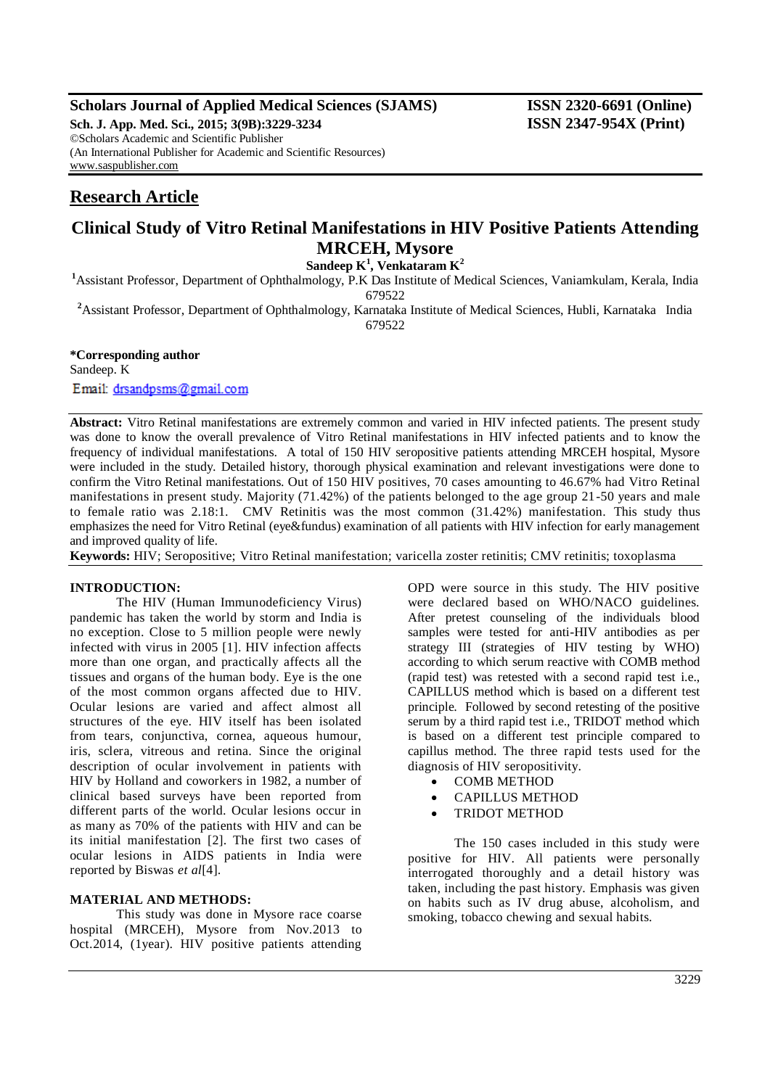## **Scholars Journal of Applied Medical Sciences (SJAMS) ISSN 2320-6691 (Online)**

**Sch. J. App. Med. Sci., 2015; 3(9B):3229-3234 ISSN 2347-954X (Print)** ©Scholars Academic and Scientific Publisher (An International Publisher for Academic and Scientific Resources) [www.saspublisher.com](http://www.saspublisher.com/)

# **Research Article**

## **Clinical Study of Vitro Retinal Manifestations in HIV Positive Patients Attending MRCEH, Mysore**

**Sandeep K<sup>1</sup> , Venkataram K<sup>2</sup>**

**<sup>1</sup>**Assistant Professor, Department of Ophthalmology, P.K Das Institute of Medical Sciences, Vaniamkulam, Kerala, India 679522

<sup>2</sup>Assistant Professor, Department of Ophthalmology, Karnataka Institute of Medical Sciences, Hubli, Karnataka India 679522

## **\*Corresponding author**

Sandeep. K Email: drsandpsms@gmail.com

**Abstract:** Vitro Retinal manifestations are extremely common and varied in HIV infected patients. The present study was done to know the overall prevalence of Vitro Retinal manifestations in HIV infected patients and to know the frequency of individual manifestations. A total of 150 HIV seropositive patients attending MRCEH hospital, Mysore were included in the study. Detailed history, thorough physical examination and relevant investigations were done to confirm the Vitro Retinal manifestations. Out of 150 HIV positives, 70 cases amounting to 46.67% had Vitro Retinal manifestations in present study. Majority (71.42%) of the patients belonged to the age group 21-50 years and male to female ratio was 2.18:1. CMV Retinitis was the most common (31.42%) manifestation. This study thus emphasizes the need for Vitro Retinal (eye&fundus) examination of all patients with HIV infection for early management and improved quality of life.

**Keywords:** HIV; Seropositive; Vitro Retinal manifestation; varicella zoster retinitis; CMV retinitis; toxoplasma

### **INTRODUCTION:**

The HIV (Human Immunodeficiency Virus) pandemic has taken the world by storm and India is no exception. Close to 5 million people were newly infected with virus in 2005 [1]. HIV infection affects more than one organ, and practically affects all the tissues and organs of the human body. Eye is the one of the most common organs affected due to HIV. Ocular lesions are varied and affect almost all structures of the eye. HIV itself has been isolated from tears, conjunctiva, cornea, aqueous humour, iris, sclera, vitreous and retina. Since the original description of ocular involvement in patients with HIV by Holland and coworkers in 1982, a number of clinical based surveys have been reported from different parts of the world. Ocular lesions occur in as many as 70% of the patients with HIV and can be its initial manifestation [2]. The first two cases of ocular lesions in AIDS patients in India were reported by Biswas *et al*[4].

#### **MATERIAL AND METHODS:**

This study was done in Mysore race coarse hospital (MRCEH), Mysore from Nov.2013 to Oct.2014, (1year). HIV positive patients attending

OPD were source in this study. The HIV positive were declared based on WHO/NACO guidelines. After pretest counseling of the individuals blood samples were tested for anti-HIV antibodies as per strategy III (strategies of HIV testing by WHO) according to which serum reactive with COMB method (rapid test) was retested with a second rapid test i.e., CAPILLUS method which is based on a different test principle. Followed by second retesting of the positive serum by a third rapid test i.e., TRIDOT method which is based on a different test principle compared to capillus method. The three rapid tests used for the diagnosis of HIV seropositivity.

- COMB METHOD
- CAPILLUS METHOD
- TRIDOT METHOD

The 150 cases included in this study were positive for HIV. All patients were personally interrogated thoroughly and a detail history was taken, including the past history. Emphasis was given on habits such as IV drug abuse, alcoholism, and smoking, tobacco chewing and sexual habits.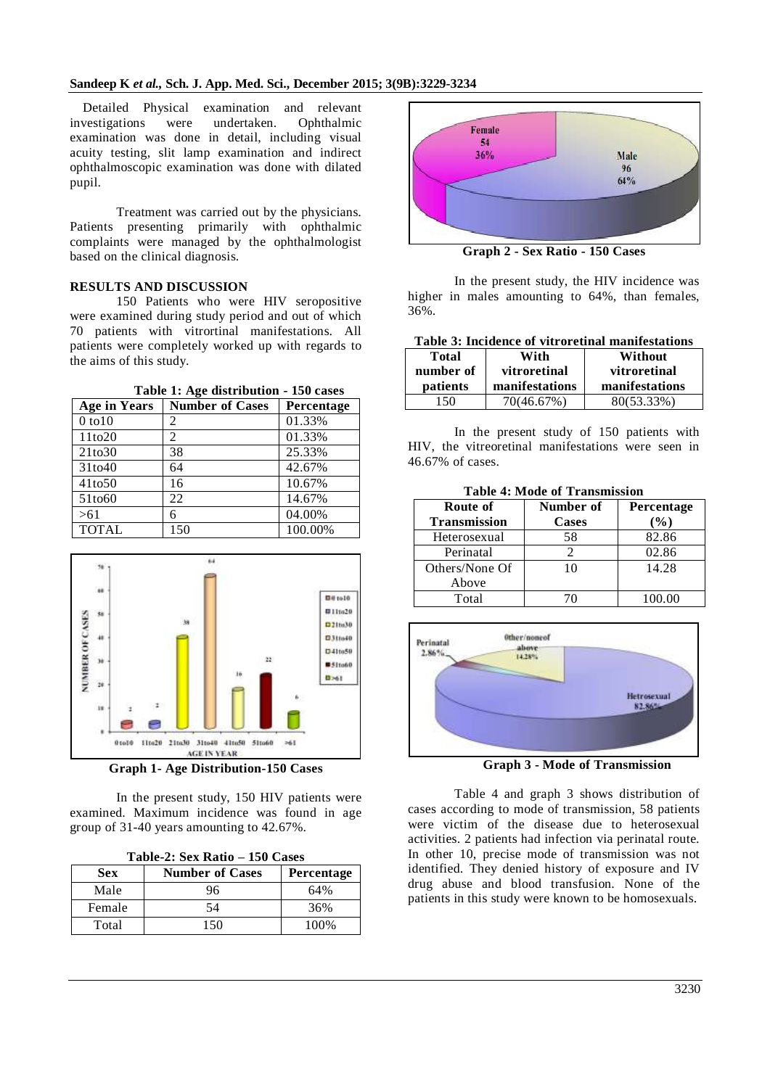Detailed Physical examination and relevant investigations were undertaken. Ophthalmic examination was done in detail, including visual acuity testing, slit lamp examination and indirect ophthalmoscopic examination was done with dilated pupil.

Treatment was carried out by the physicians. Patients presenting primarily with ophthalmic complaints were managed by the ophthalmologist based on the clinical diagnosis.

#### **RESULTS AND DISCUSSION**

150 Patients who were HIV seropositive were examined during study period and out of which 70 patients with vitrortinal manifestations. All patients were completely worked up with regards to the aims of this study.

| <b>Age in Years</b> | <b>Number of Cases</b> | Percentage |
|---------------------|------------------------|------------|
| $0$ to $10$         | 2                      | 01.33%     |
| 11to20              | 2                      | 01.33%     |
| 21 <sub>to</sub> 30 | 38                     | 25.33%     |
| 31to40              | 64                     | 42.67%     |
| 41 <sub>to50</sub>  | 16                     | 10.67%     |
| 51to60              | 22                     | 14.67%     |
| >61                 | 6                      | 04.00%     |
| <b>TOTAL</b>        | 150                    | 100.00%    |



**Graph 1- Age Distribution-150 Cases**

In the present study, 150 HIV patients were examined. Maximum incidence was found in age group of 31-40 years amounting to 42.67%.

| Table-2: Sex Ratio – 150 Cases |
|--------------------------------|
|--------------------------------|

| Sex    | <b>Number of Cases</b> | Percentage |
|--------|------------------------|------------|
| Male   | 96                     | 64%        |
| Female | 54                     | 36%        |
| Total  | -50                    | 100%       |



**Graph 2 - Sex Ratio - 150 Cases**

In the present study, the HIV incidence was higher in males amounting to 64%, than females, 36%.

| Table 3: Incidence of vitroretinal manifestations |  |  |
|---------------------------------------------------|--|--|
|---------------------------------------------------|--|--|

| <b>Total</b> | With           | Without        |
|--------------|----------------|----------------|
| number of    | vitroretinal   | vitroretinal   |
| patients     | manifestations | manifestations |
| 150          | 70(46.67%)     | 80(53.33%)     |

In the present study of 150 patients with HIV, the vitreoretinal manifestations were seen in 46.67% of cases.

**Table 4: Mode of Transmission**

| Route of            | Number of | Percentage |
|---------------------|-----------|------------|
| <b>Transmission</b> | Cases     | $(\%)$     |
| Heterosexual        | 58        | 82.86      |
| Perinatal           |           | 02.86      |
| Others/None Of      | 10        | 14.28      |
| Above               |           |            |
| Total               |           | 100.00     |



**Graph 3 - Mode of Transmission**

Table 4 and graph 3 shows distribution of cases according to mode of transmission, 58 patients were victim of the disease due to heterosexual activities. 2 patients had infection via perinatal route. In other 10, precise mode of transmission was not identified. They denied history of exposure and IV drug abuse and blood transfusion. None of the patients in this study were known to be homosexuals.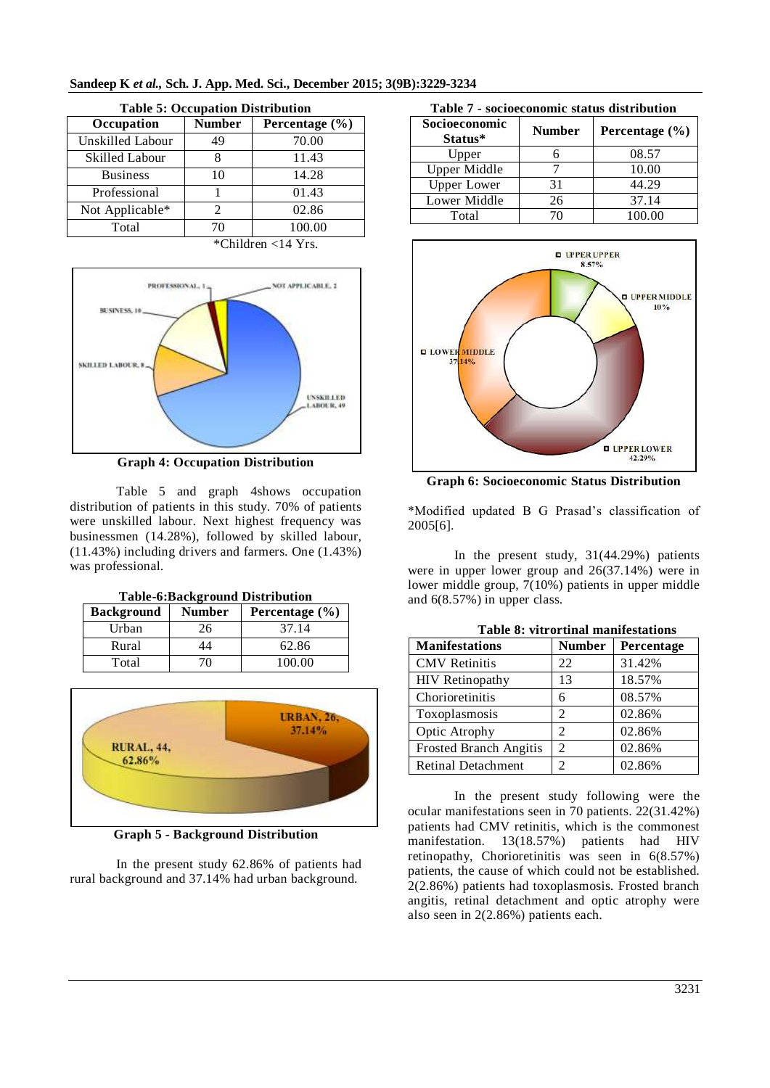| <b>Table 5: Occupation Distribution</b> |               |                    |
|-----------------------------------------|---------------|--------------------|
| Occupation                              | <b>Number</b> | Percentage $(\% )$ |
| Unskilled Labour                        | 49            | 70.00              |
| Skilled Labour                          | 8             | 11.43              |
| <b>Business</b>                         | 10            | 14.28              |
| Professional                            |               | 01.43              |
| Not Applicable*                         | 2             | 02.86              |
| Total                                   | 70            | 100.00             |
| $*$ Children <14 Yrs.                   |               |                    |



| PROFESSIONAL,                            | NOT APPLICABLE, 2              |
|------------------------------------------|--------------------------------|
| BUSINESS, 10                             |                                |
| SKILLED LABOUR, 8                        |                                |
|                                          | <b>UNSKILLED</b><br>LABOUR, 49 |
|                                          |                                |
| $\sim$<br>$\sim$ $\sim$<br>$\sim$ $\sim$ | ----<br>$\sim$ $\sim$          |

**Graph 4: Occupation Distribution**

Table 5 and graph 4shows occupation distribution of patients in this study. 70% of patients were unskilled labour. Next highest frequency was businessmen (14.28%), followed by skilled labour, (11.43%) including drivers and farmers. One (1.43%) was professional.

| <b>Background</b> | <b>Number</b> | Percentage $(\% )$ |
|-------------------|---------------|--------------------|
| Urban             | 26            | 37.14              |
| Rural             | 44            | 62.86              |
| Total             |               | 100.00             |



**Graph 5 - Background Distribution**

In the present study 62.86% of patients had rural background and 37.14% had urban background.

| Table 7 - socioeconomic status distribution |               |                    |
|---------------------------------------------|---------------|--------------------|
| Socioeconomic<br>Status*                    | <b>Number</b> | Percentage $(\% )$ |
| Upper                                       |               | 08.57              |
| <b>Upper Middle</b>                         |               | 10.00              |
| <b>Upper Lower</b>                          | 31            | 44.29              |
| Lower Middle                                | 26            | 37.14              |
| Total                                       |               | 100.00             |



**Graph 6: Socioeconomic Status Distribution**

\*Modified updated B G Prasad's classification of 2005[6].

In the present study, 31(44.29%) patients were in upper lower group and 26(37.14%) were in lower middle group, 7(10%) patients in upper middle and 6(8.57%) in upper class.

| <b>Table 8: vitrortinal manifestations</b> |                |            |  |
|--------------------------------------------|----------------|------------|--|
| <b>Manifestations</b>                      | <b>Number</b>  | Percentage |  |
| <b>CMV</b> Retinitis                       | 22             | 31.42%     |  |
| <b>HIV</b> Retinopathy                     | 13             | 18.57%     |  |
| Chorioretinitis                            | 6              | 08.57%     |  |
| Toxoplasmosis                              | 2              | 02.86%     |  |
| Optic Atrophy                              | 2              | 02.86%     |  |
| Frosted Branch Angitis                     | 2              | 02.86%     |  |
| <b>Retinal Detachment</b>                  | $\mathfrak{D}$ | 02.86%     |  |

In the present study following were the ocular manifestations seen in 70 patients. 22(31.42%) patients had CMV retinitis, which is the commonest manifestation. 13(18.57%) patients had HIV retinopathy, Chorioretinitis was seen in 6(8.57%) patients, the cause of which could not be established. 2(2.86%) patients had toxoplasmosis. Frosted branch angitis, retinal detachment and optic atrophy were also seen in 2(2.86%) patients each.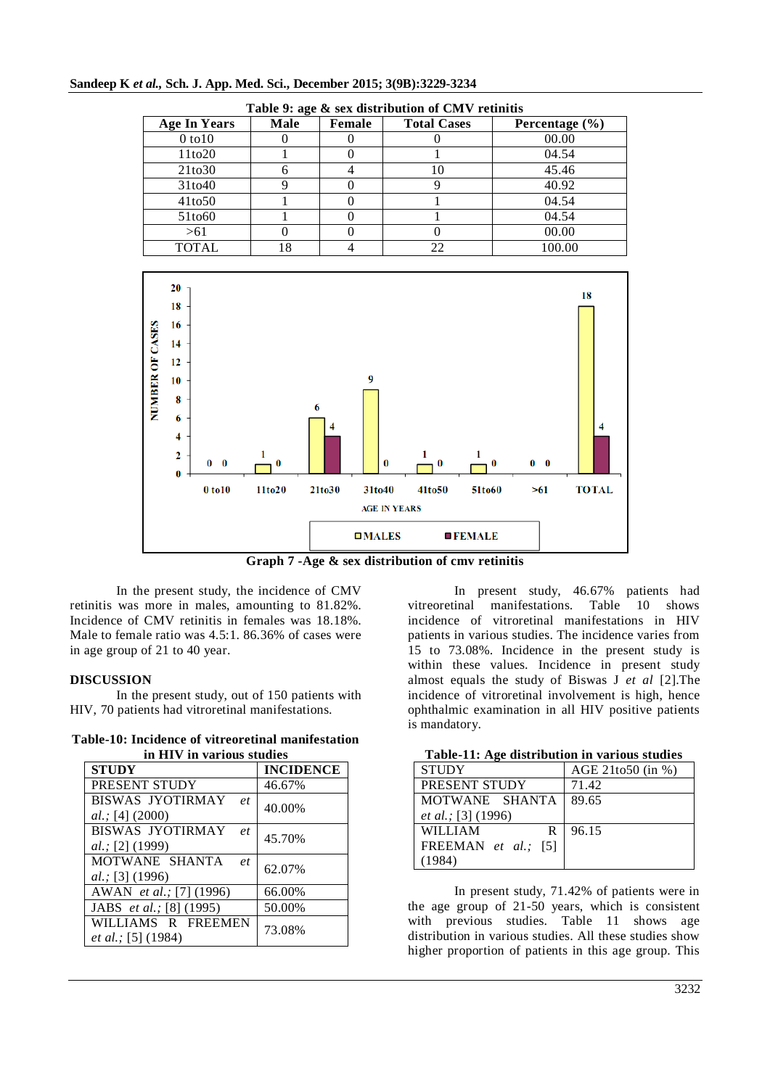| Table 9: age & sex distribution of CMV retinitis |             |        |                    |                    |
|--------------------------------------------------|-------------|--------|--------------------|--------------------|
| <b>Age In Years</b>                              | <b>Male</b> | Female | <b>Total Cases</b> | Percentage $(\% )$ |
| $0$ to $10$                                      |             |        |                    | 00.00              |
| 11 <sub>to</sub> 20                              |             |        |                    | 04.54              |
| 21 <sub>to</sub> 30                              | n           |        | 10                 | 45.46              |
| 31to40                                           |             |        |                    | 40.92              |
| 41to50                                           |             |        |                    | 04.54              |
| 51to <sub>60</sub>                               |             |        |                    | 04.54              |
| > 61                                             |             |        |                    | 00.00              |
| TOTAL                                            | 18          |        |                    | 100.00             |

#### **Sandeep K** *et al.,* **Sch. J. App. Med. Sci., December 2015; 3(9B):3229-3234**



**Graph 7 -Age & sex distribution of cmv retinitis**

In the present study, the incidence of CMV retinitis was more in males, amounting to 81.82%. Incidence of CMV retinitis in females was 18.18%. Male to female ratio was 4.5:1. 86.36% of cases were in age group of 21 to 40 year.

#### **DISCUSSION**

In the present study, out of 150 patients with HIV, 70 patients had vitroretinal manifestations.

**Table-10: Incidence of vitreoretinal manifestation in HIV in various studies**

| III ELI V-III VALTOUS SUUULES    |                  |  |  |
|----------------------------------|------------------|--|--|
| <b>STUDY</b>                     | <b>INCIDENCE</b> |  |  |
| PRESENT STUDY                    | 46.67%           |  |  |
| <b>BISWAS JYOTIRMAY</b><br>et    | 40.00%           |  |  |
| al.; [4] (2000)                  |                  |  |  |
| <b>BISWAS JYOTIRMAY</b><br>$e$ t | 45.70%           |  |  |
| al.; [2] (1999)                  |                  |  |  |
| MOTWANE SHANTA<br>et             | 62.07%           |  |  |
| al.; [3] (1996)                  |                  |  |  |
| AWAN et al.; [7] (1996)          | 66.00%           |  |  |
| JABS <i>et al.</i> ; [8] (1995)  | 50.00%           |  |  |
| WILLIAMS R FREEMEN               | 73.08%           |  |  |
| et al.; [5] (1984)               |                  |  |  |

In present study, 46.67% patients had vitreoretinal manifestations. Table 10 shows incidence of vitroretinal manifestations in HIV patients in various studies. The incidence varies from 15 to 73.08%. Incidence in the present study is within these values. Incidence in present study almost equals the study of Biswas J *et al* [2].The incidence of vitroretinal involvement is high, hence ophthalmic examination in all HIV positive patients is mandatory.

| Table-11: Age distribution in various studies |  |
|-----------------------------------------------|--|
|-----------------------------------------------|--|

| <b>STUDY</b>               | AGE 21to50 (in %) |
|----------------------------|-------------------|
| PRESENT STUDY              | 71.42             |
| MOTWANE SHANTA             | 89.65             |
| <i>et al.</i> ; [3] (1996) |                   |
| <b>WILLIAM</b><br>R        | 96.15             |
| FREEMAN et al.: [5]        |                   |
| (1984)                     |                   |

In present study, 71.42% of patients were in the age group of 21-50 years, which is consistent with previous studies. Table 11 shows age distribution in various studies. All these studies show higher proportion of patients in this age group. This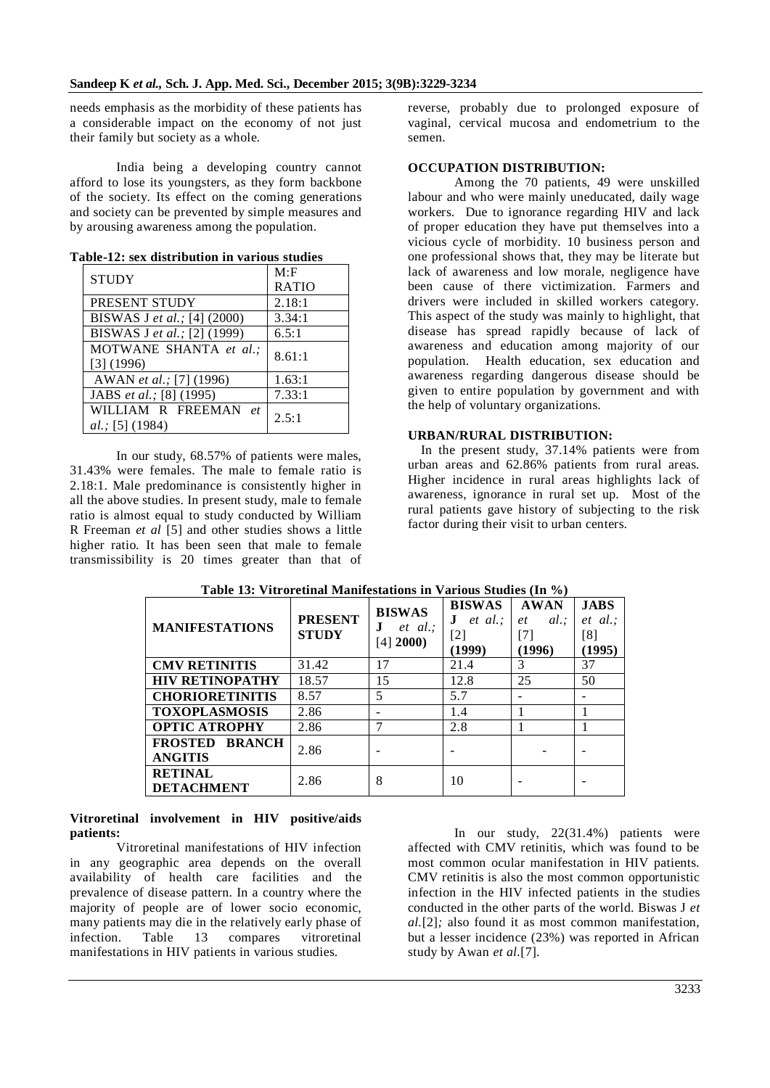needs emphasis as the morbidity of these patients has a considerable impact on the economy of not just their family but society as a whole.

India being a developing country cannot afford to lose its youngsters, as they form backbone of the society. Its effect on the coming generations and society can be prevented by simple measures and by arousing awareness among the population.

| <b>STUDY</b>                | M: F         |  |
|-----------------------------|--------------|--|
|                             | <b>RATIO</b> |  |
| PRESENT STUDY               | 2.18:1       |  |
| BISWAS J et al.; [4] (2000) | 3.34:1       |  |
| BISWAS J et al.; [2] (1999) | 6.5:1        |  |
| MOTWANE SHANTA et al.;      | 8.61:1       |  |
| [3] (1996)                  |              |  |
| AWAN et al.; [7] (1996)     | 1.63:1       |  |
| JABS et al.; [8] (1995)     | 7.33:1       |  |
| WILLIAM R FREEMAN<br>et     | 2.5:1        |  |
| al.; [5] (1984)             |              |  |

**Table-12: sex distribution in various studies**

In our study, 68.57% of patients were males, 31.43% were females. The male to female ratio is 2.18:1. Male predominance is consistently higher in all the above studies. In present study, male to female ratio is almost equal to study conducted by William R Freeman *et al* [5] and other studies shows a little higher ratio. It has been seen that male to female transmissibility is 20 times greater than that of reverse, probably due to prolonged exposure of vaginal, cervical mucosa and endometrium to the semen.

#### **OCCUPATION DISTRIBUTION:**

Among the 70 patients, 49 were unskilled labour and who were mainly uneducated, daily wage workers. Due to ignorance regarding HIV and lack of proper education they have put themselves into a vicious cycle of morbidity. 10 business person and one professional shows that, they may be literate but lack of awareness and low morale, negligence have been cause of there victimization. Farmers and drivers were included in skilled workers category. This aspect of the study was mainly to highlight, that disease has spread rapidly because of lack of awareness and education among majority of our population. Health education, sex education and awareness regarding dangerous disease should be given to entire population by government and with the help of voluntary organizations.

#### **URBAN/RURAL DISTRIBUTION:**

In the present study, 37.14% patients were from urban areas and 62.86% patients from rural areas. Higher incidence in rural areas highlights lack of awareness, ignorance in rural set up. Most of the rural patients gave history of subjecting to the risk factor during their visit to urban centers.

| <b>MANIFESTATIONS</b>                             | <b>PRESENT</b><br><b>STUDY</b> | <b>BISWAS</b><br>$et \; al.$ :<br>J<br>[4] 2000 | <b>BISWAS</b><br>$et \ al.$ :<br>$\lceil 2 \rceil$<br>(1999) | <b>AWAN</b><br>$al.$ :<br>et<br>$[7]$<br>(1996) | <b>JABS</b><br>$et \ al.$<br>[8]<br>(1995) |
|---------------------------------------------------|--------------------------------|-------------------------------------------------|--------------------------------------------------------------|-------------------------------------------------|--------------------------------------------|
| <b>CMV RETINITIS</b>                              | 31.42                          | 17                                              | 21.4                                                         | 3                                               | 37                                         |
| <b>HIV RETINOPATHY</b>                            | 18.57                          | 15                                              | 12.8                                                         | 25                                              | 50                                         |
| <b>CHORIORETINITIS</b>                            | 8.57                           | 5                                               | 5.7                                                          |                                                 |                                            |
| <b>TOXOPLASMOSIS</b>                              | 2.86                           |                                                 | 1.4                                                          |                                                 |                                            |
| <b>OPTIC ATROPHY</b>                              | 2.86                           | 7                                               | 2.8                                                          |                                                 |                                            |
| <b>FROSTED</b><br><b>BRANCH</b><br><b>ANGITIS</b> | 2.86                           |                                                 |                                                              |                                                 |                                            |
| <b>RETINAL</b><br><b>DETACHMENT</b>               | 2.86                           | 8                                               | 10                                                           |                                                 |                                            |

## **Table 13: Vitroretinal Manifestations in Various Studies (In %)**

### **Vitroretinal involvement in HIV positive/aids patients:**

Vitroretinal manifestations of HIV infection in any geographic area depends on the overall availability of health care facilities and the prevalence of disease pattern. In a country where the majority of people are of lower socio economic, many patients may die in the relatively early phase of<br>infection. Table 13 compares vitroretinal Table 13 compares vitroretinal manifestations in HIV patients in various studies.

In our study, 22(31.4%) patients were affected with CMV retinitis, which was found to be most common ocular manifestation in HIV patients. CMV retinitis is also the most common opportunistic infection in the HIV infected patients in the studies conducted in the other parts of the world. Biswas J *et al.*[2]*;* also found it as most common manifestation, but a lesser incidence (23%) was reported in African study by Awan *et al.*[7].